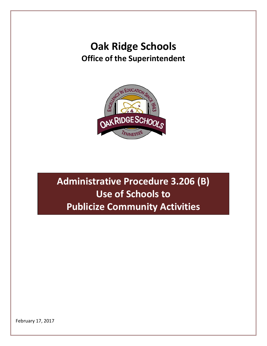## **Oak Ridge Schools Office of the Superintendent**



## **Administrative Procedure 3.206 (B) Use of Schools to Publicize Community Activities**

February 17, 2017